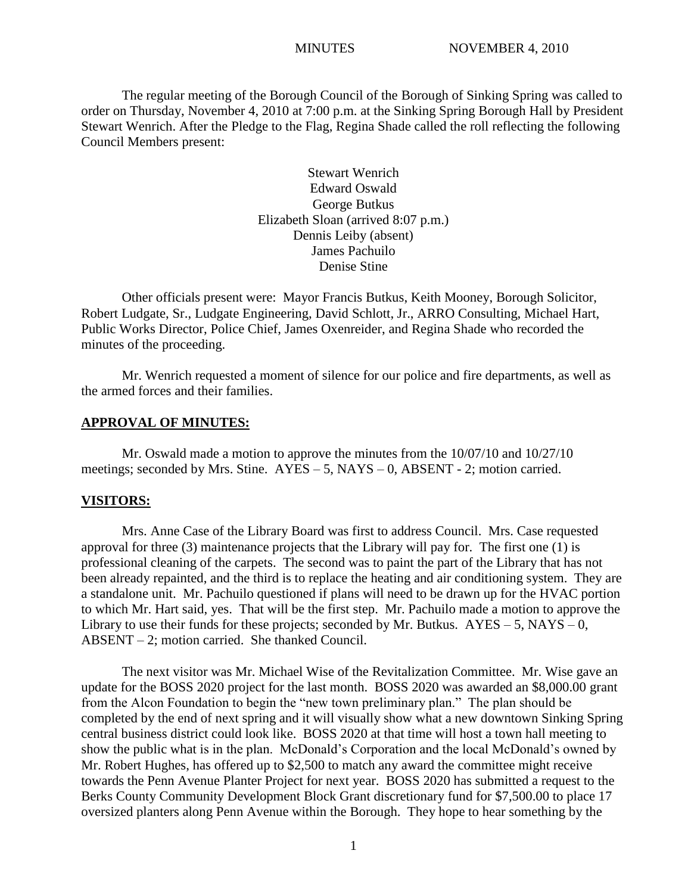The regular meeting of the Borough Council of the Borough of Sinking Spring was called to order on Thursday, November 4, 2010 at 7:00 p.m. at the Sinking Spring Borough Hall by President Stewart Wenrich. After the Pledge to the Flag, Regina Shade called the roll reflecting the following Council Members present:

> Stewart Wenrich Edward Oswald George Butkus Elizabeth Sloan (arrived 8:07 p.m.) Dennis Leiby (absent) James Pachuilo Denise Stine

Other officials present were: Mayor Francis Butkus, Keith Mooney, Borough Solicitor, Robert Ludgate, Sr., Ludgate Engineering, David Schlott, Jr., ARRO Consulting, Michael Hart, Public Works Director, Police Chief, James Oxenreider, and Regina Shade who recorded the minutes of the proceeding.

Mr. Wenrich requested a moment of silence for our police and fire departments, as well as the armed forces and their families.

#### **APPROVAL OF MINUTES:**

Mr. Oswald made a motion to approve the minutes from the 10/07/10 and 10/27/10 meetings; seconded by Mrs. Stine. AYES – 5, NAYS – 0, ABSENT - 2; motion carried.

#### **VISITORS:**

Mrs. Anne Case of the Library Board was first to address Council. Mrs. Case requested approval for three (3) maintenance projects that the Library will pay for. The first one (1) is professional cleaning of the carpets. The second was to paint the part of the Library that has not been already repainted, and the third is to replace the heating and air conditioning system. They are a standalone unit. Mr. Pachuilo questioned if plans will need to be drawn up for the HVAC portion to which Mr. Hart said, yes. That will be the first step. Mr. Pachuilo made a motion to approve the Library to use their funds for these projects; seconded by Mr. Butkus.  $AYES - 5$ ,  $NAYS - 0$ , ABSENT – 2; motion carried. She thanked Council.

The next visitor was Mr. Michael Wise of the Revitalization Committee. Mr. Wise gave an update for the BOSS 2020 project for the last month. BOSS 2020 was awarded an \$8,000.00 grant from the Alcon Foundation to begin the "new town preliminary plan." The plan should be completed by the end of next spring and it will visually show what a new downtown Sinking Spring central business district could look like. BOSS 2020 at that time will host a town hall meeting to show the public what is in the plan. McDonald's Corporation and the local McDonald's owned by Mr. Robert Hughes, has offered up to \$2,500 to match any award the committee might receive towards the Penn Avenue Planter Project for next year. BOSS 2020 has submitted a request to the Berks County Community Development Block Grant discretionary fund for \$7,500.00 to place 17 oversized planters along Penn Avenue within the Borough. They hope to hear something by the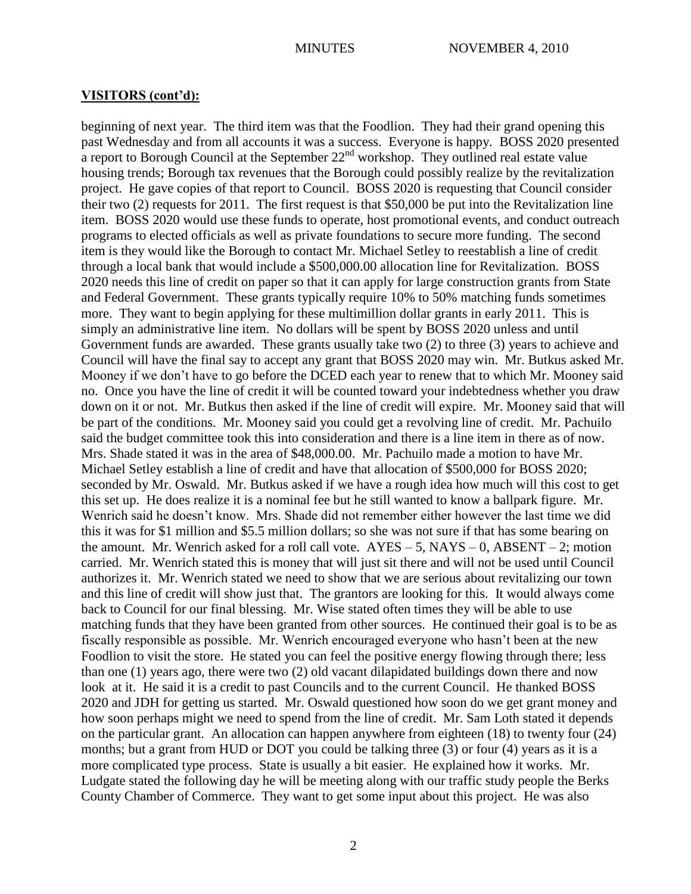beginning of next year. The third item was that the Foodlion. They had their grand opening this past Wednesday and from all accounts it was a success. Everyone is happy. BOSS 2020 presented a report to Borough Council at the September  $22<sup>nd</sup>$  workshop. They outlined real estate value housing trends; Borough tax revenues that the Borough could possibly realize by the revitalization project. He gave copies of that report to Council. BOSS 2020 is requesting that Council consider their two (2) requests for 2011. The first request is that \$50,000 be put into the Revitalization line item. BOSS 2020 would use these funds to operate, host promotional events, and conduct outreach programs to elected officials as well as private foundations to secure more funding. The second item is they would like the Borough to contact Mr. Michael Setley to reestablish a line of credit through a local bank that would include a \$500,000.00 allocation line for Revitalization. BOSS 2020 needs this line of credit on paper so that it can apply for large construction grants from State and Federal Government. These grants typically require 10% to 50% matching funds sometimes more. They want to begin applying for these multimillion dollar grants in early 2011. This is simply an administrative line item. No dollars will be spent by BOSS 2020 unless and until Government funds are awarded. These grants usually take two (2) to three (3) years to achieve and Council will have the final say to accept any grant that BOSS 2020 may win. Mr. Butkus asked Mr. Mooney if we don't have to go before the DCED each year to renew that to which Mr. Mooney said no. Once you have the line of credit it will be counted toward your indebtedness whether you draw down on it or not. Mr. Butkus then asked if the line of credit will expire. Mr. Mooney said that will be part of the conditions. Mr. Mooney said you could get a revolving line of credit. Mr. Pachuilo said the budget committee took this into consideration and there is a line item in there as of now. Mrs. Shade stated it was in the area of \$48,000.00. Mr. Pachuilo made a motion to have Mr. Michael Setley establish a line of credit and have that allocation of \$500,000 for BOSS 2020; seconded by Mr. Oswald. Mr. Butkus asked if we have a rough idea how much will this cost to get this set up. He does realize it is a nominal fee but he still wanted to know a ballpark figure. Mr. Wenrich said he doesn't know. Mrs. Shade did not remember either however the last time we did this it was for \$1 million and \$5.5 million dollars; so she was not sure if that has some bearing on the amount. Mr. Wenrich asked for a roll call vote.  $AYES - 5$ ,  $NAYS - 0$ ,  $ABSENT - 2$ ; motion carried. Mr. Wenrich stated this is money that will just sit there and will not be used until Council authorizes it. Mr. Wenrich stated we need to show that we are serious about revitalizing our town and this line of credit will show just that. The grantors are looking for this. It would always come back to Council for our final blessing. Mr. Wise stated often times they will be able to use matching funds that they have been granted from other sources. He continued their goal is to be as fiscally responsible as possible. Mr. Wenrich encouraged everyone who hasn't been at the new Foodlion to visit the store. He stated you can feel the positive energy flowing through there; less than one (1) years ago, there were two (2) old vacant dilapidated buildings down there and now look at it. He said it is a credit to past Councils and to the current Council. He thanked BOSS 2020 and JDH for getting us started. Mr. Oswald questioned how soon do we get grant money and how soon perhaps might we need to spend from the line of credit. Mr. Sam Loth stated it depends on the particular grant. An allocation can happen anywhere from eighteen (18) to twenty four (24) months; but a grant from HUD or DOT you could be talking three (3) or four (4) years as it is a more complicated type process. State is usually a bit easier. He explained how it works. Mr. Ludgate stated the following day he will be meeting along with our traffic study people the Berks County Chamber of Commerce. They want to get some input about this project. He was also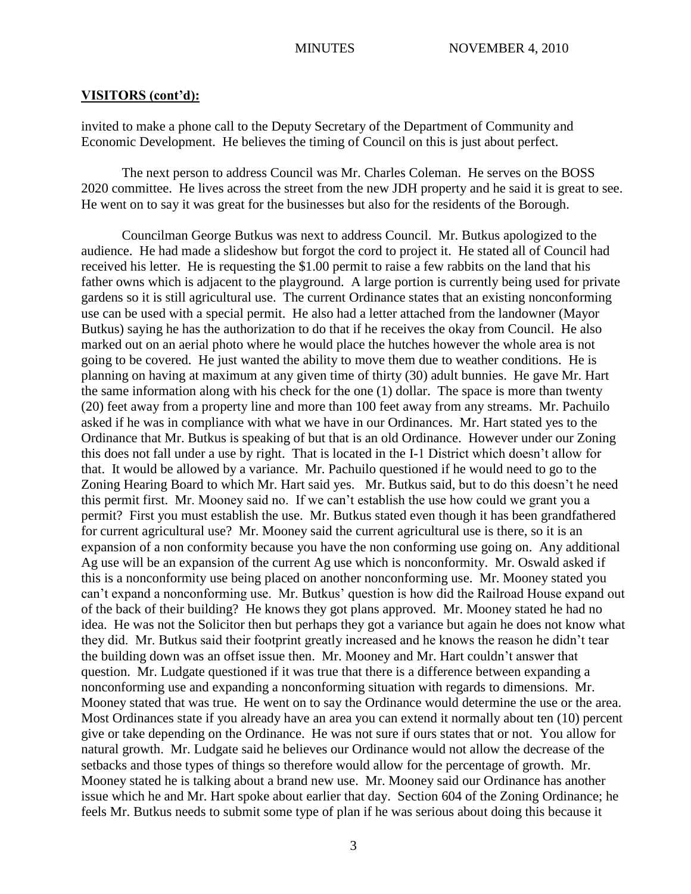invited to make a phone call to the Deputy Secretary of the Department of Community and Economic Development. He believes the timing of Council on this is just about perfect.

The next person to address Council was Mr. Charles Coleman. He serves on the BOSS 2020 committee. He lives across the street from the new JDH property and he said it is great to see. He went on to say it was great for the businesses but also for the residents of the Borough.

Councilman George Butkus was next to address Council. Mr. Butkus apologized to the audience. He had made a slideshow but forgot the cord to project it. He stated all of Council had received his letter. He is requesting the \$1.00 permit to raise a few rabbits on the land that his father owns which is adjacent to the playground. A large portion is currently being used for private gardens so it is still agricultural use. The current Ordinance states that an existing nonconforming use can be used with a special permit. He also had a letter attached from the landowner (Mayor Butkus) saying he has the authorization to do that if he receives the okay from Council. He also marked out on an aerial photo where he would place the hutches however the whole area is not going to be covered. He just wanted the ability to move them due to weather conditions. He is planning on having at maximum at any given time of thirty (30) adult bunnies. He gave Mr. Hart the same information along with his check for the one (1) dollar. The space is more than twenty (20) feet away from a property line and more than 100 feet away from any streams. Mr. Pachuilo asked if he was in compliance with what we have in our Ordinances. Mr. Hart stated yes to the Ordinance that Mr. Butkus is speaking of but that is an old Ordinance. However under our Zoning this does not fall under a use by right. That is located in the I-1 District which doesn't allow for that. It would be allowed by a variance. Mr. Pachuilo questioned if he would need to go to the Zoning Hearing Board to which Mr. Hart said yes. Mr. Butkus said, but to do this doesn't he need this permit first. Mr. Mooney said no. If we can't establish the use how could we grant you a permit? First you must establish the use. Mr. Butkus stated even though it has been grandfathered for current agricultural use? Mr. Mooney said the current agricultural use is there, so it is an expansion of a non conformity because you have the non conforming use going on. Any additional Ag use will be an expansion of the current Ag use which is nonconformity. Mr. Oswald asked if this is a nonconformity use being placed on another nonconforming use. Mr. Mooney stated you can't expand a nonconforming use. Mr. Butkus' question is how did the Railroad House expand out of the back of their building? He knows they got plans approved. Mr. Mooney stated he had no idea. He was not the Solicitor then but perhaps they got a variance but again he does not know what they did. Mr. Butkus said their footprint greatly increased and he knows the reason he didn't tear the building down was an offset issue then. Mr. Mooney and Mr. Hart couldn't answer that question. Mr. Ludgate questioned if it was true that there is a difference between expanding a nonconforming use and expanding a nonconforming situation with regards to dimensions. Mr. Mooney stated that was true. He went on to say the Ordinance would determine the use or the area. Most Ordinances state if you already have an area you can extend it normally about ten (10) percent give or take depending on the Ordinance. He was not sure if ours states that or not. You allow for natural growth. Mr. Ludgate said he believes our Ordinance would not allow the decrease of the setbacks and those types of things so therefore would allow for the percentage of growth. Mr. Mooney stated he is talking about a brand new use. Mr. Mooney said our Ordinance has another issue which he and Mr. Hart spoke about earlier that day. Section 604 of the Zoning Ordinance; he feels Mr. Butkus needs to submit some type of plan if he was serious about doing this because it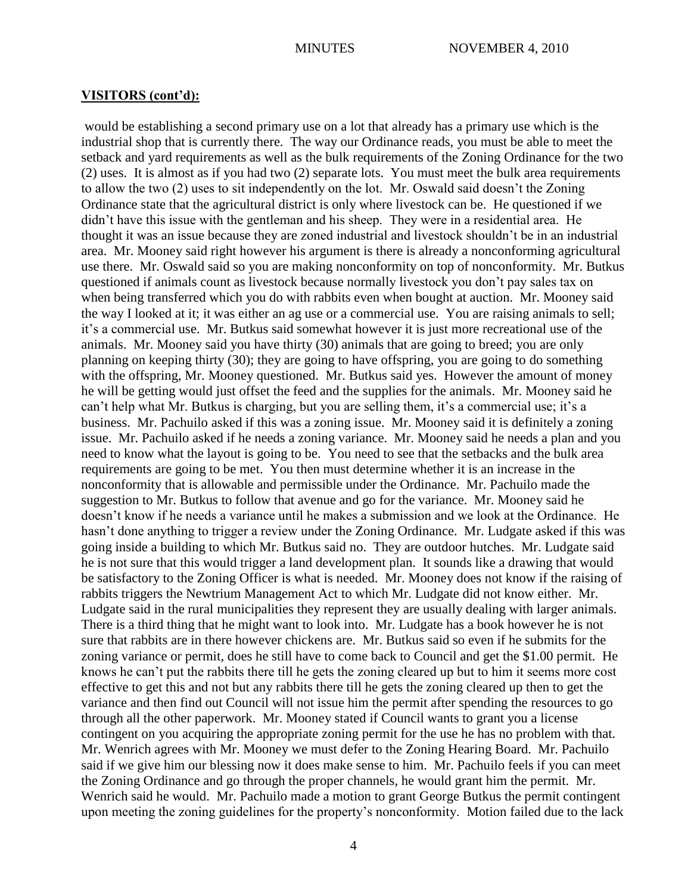would be establishing a second primary use on a lot that already has a primary use which is the industrial shop that is currently there. The way our Ordinance reads, you must be able to meet the setback and yard requirements as well as the bulk requirements of the Zoning Ordinance for the two (2) uses. It is almost as if you had two (2) separate lots. You must meet the bulk area requirements to allow the two (2) uses to sit independently on the lot. Mr. Oswald said doesn't the Zoning Ordinance state that the agricultural district is only where livestock can be. He questioned if we didn't have this issue with the gentleman and his sheep. They were in a residential area. He thought it was an issue because they are zoned industrial and livestock shouldn't be in an industrial area. Mr. Mooney said right however his argument is there is already a nonconforming agricultural use there. Mr. Oswald said so you are making nonconformity on top of nonconformity. Mr. Butkus questioned if animals count as livestock because normally livestock you don't pay sales tax on when being transferred which you do with rabbits even when bought at auction. Mr. Mooney said the way I looked at it; it was either an ag use or a commercial use. You are raising animals to sell; it's a commercial use. Mr. Butkus said somewhat however it is just more recreational use of the animals. Mr. Mooney said you have thirty (30) animals that are going to breed; you are only planning on keeping thirty (30); they are going to have offspring, you are going to do something with the offspring, Mr. Mooney questioned. Mr. Butkus said yes. However the amount of money he will be getting would just offset the feed and the supplies for the animals. Mr. Mooney said he can't help what Mr. Butkus is charging, but you are selling them, it's a commercial use; it's a business. Mr. Pachuilo asked if this was a zoning issue. Mr. Mooney said it is definitely a zoning issue. Mr. Pachuilo asked if he needs a zoning variance. Mr. Mooney said he needs a plan and you need to know what the layout is going to be. You need to see that the setbacks and the bulk area requirements are going to be met. You then must determine whether it is an increase in the nonconformity that is allowable and permissible under the Ordinance. Mr. Pachuilo made the suggestion to Mr. Butkus to follow that avenue and go for the variance. Mr. Mooney said he doesn't know if he needs a variance until he makes a submission and we look at the Ordinance. He hasn't done anything to trigger a review under the Zoning Ordinance. Mr. Ludgate asked if this was going inside a building to which Mr. Butkus said no. They are outdoor hutches. Mr. Ludgate said he is not sure that this would trigger a land development plan. It sounds like a drawing that would be satisfactory to the Zoning Officer is what is needed. Mr. Mooney does not know if the raising of rabbits triggers the Newtrium Management Act to which Mr. Ludgate did not know either. Mr. Ludgate said in the rural municipalities they represent they are usually dealing with larger animals. There is a third thing that he might want to look into. Mr. Ludgate has a book however he is not sure that rabbits are in there however chickens are. Mr. Butkus said so even if he submits for the zoning variance or permit, does he still have to come back to Council and get the \$1.00 permit. He knows he can't put the rabbits there till he gets the zoning cleared up but to him it seems more cost effective to get this and not but any rabbits there till he gets the zoning cleared up then to get the variance and then find out Council will not issue him the permit after spending the resources to go through all the other paperwork. Mr. Mooney stated if Council wants to grant you a license contingent on you acquiring the appropriate zoning permit for the use he has no problem with that. Mr. Wenrich agrees with Mr. Mooney we must defer to the Zoning Hearing Board. Mr. Pachuilo said if we give him our blessing now it does make sense to him. Mr. Pachuilo feels if you can meet the Zoning Ordinance and go through the proper channels, he would grant him the permit. Mr. Wenrich said he would. Mr. Pachuilo made a motion to grant George Butkus the permit contingent upon meeting the zoning guidelines for the property's nonconformity. Motion failed due to the lack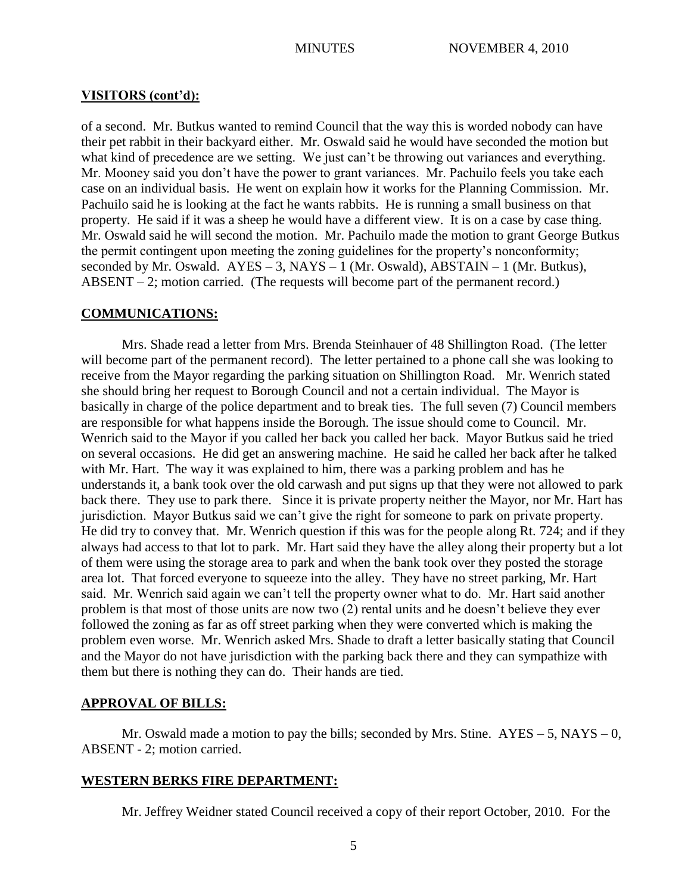of a second. Mr. Butkus wanted to remind Council that the way this is worded nobody can have their pet rabbit in their backyard either. Mr. Oswald said he would have seconded the motion but what kind of precedence are we setting. We just can't be throwing out variances and everything. Mr. Mooney said you don't have the power to grant variances. Mr. Pachuilo feels you take each case on an individual basis. He went on explain how it works for the Planning Commission. Mr. Pachuilo said he is looking at the fact he wants rabbits. He is running a small business on that property. He said if it was a sheep he would have a different view. It is on a case by case thing. Mr. Oswald said he will second the motion. Mr. Pachuilo made the motion to grant George Butkus the permit contingent upon meeting the zoning guidelines for the property's nonconformity; seconded by Mr. Oswald.  $AYES - 3$ ,  $NAYS - 1$  (Mr. Oswald),  $ABSTAIN - 1$  (Mr. Butkus), ABSENT – 2; motion carried. (The requests will become part of the permanent record.)

## **COMMUNICATIONS:**

Mrs. Shade read a letter from Mrs. Brenda Steinhauer of 48 Shillington Road. (The letter will become part of the permanent record). The letter pertained to a phone call she was looking to receive from the Mayor regarding the parking situation on Shillington Road. Mr. Wenrich stated she should bring her request to Borough Council and not a certain individual. The Mayor is basically in charge of the police department and to break ties. The full seven (7) Council members are responsible for what happens inside the Borough. The issue should come to Council. Mr. Wenrich said to the Mayor if you called her back you called her back. Mayor Butkus said he tried on several occasions. He did get an answering machine. He said he called her back after he talked with Mr. Hart. The way it was explained to him, there was a parking problem and has he understands it, a bank took over the old carwash and put signs up that they were not allowed to park back there. They use to park there. Since it is private property neither the Mayor, nor Mr. Hart has jurisdiction. Mayor Butkus said we can't give the right for someone to park on private property. He did try to convey that. Mr. Wenrich question if this was for the people along Rt. 724; and if they always had access to that lot to park. Mr. Hart said they have the alley along their property but a lot of them were using the storage area to park and when the bank took over they posted the storage area lot. That forced everyone to squeeze into the alley. They have no street parking, Mr. Hart said. Mr. Wenrich said again we can't tell the property owner what to do. Mr. Hart said another problem is that most of those units are now two (2) rental units and he doesn't believe they ever followed the zoning as far as off street parking when they were converted which is making the problem even worse. Mr. Wenrich asked Mrs. Shade to draft a letter basically stating that Council and the Mayor do not have jurisdiction with the parking back there and they can sympathize with them but there is nothing they can do. Their hands are tied.

## **APPROVAL OF BILLS:**

Mr. Oswald made a motion to pay the bills; seconded by Mrs. Stine.  $AYES - 5$ ,  $NAYS - 0$ , ABSENT - 2; motion carried.

## **WESTERN BERKS FIRE DEPARTMENT:**

Mr. Jeffrey Weidner stated Council received a copy of their report October, 2010. For the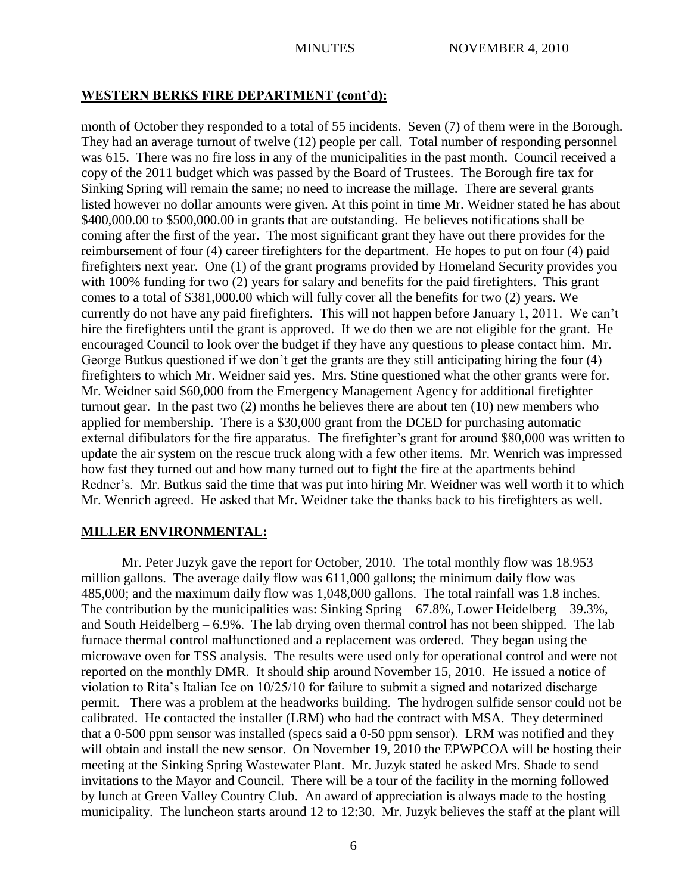## **WESTERN BERKS FIRE DEPARTMENT (cont'd):**

month of October they responded to a total of 55 incidents. Seven (7) of them were in the Borough. They had an average turnout of twelve (12) people per call. Total number of responding personnel was 615. There was no fire loss in any of the municipalities in the past month. Council received a copy of the 2011 budget which was passed by the Board of Trustees. The Borough fire tax for Sinking Spring will remain the same; no need to increase the millage. There are several grants listed however no dollar amounts were given. At this point in time Mr. Weidner stated he has about \$400,000.00 to \$500,000.00 in grants that are outstanding. He believes notifications shall be coming after the first of the year. The most significant grant they have out there provides for the reimbursement of four (4) career firefighters for the department. He hopes to put on four (4) paid firefighters next year. One (1) of the grant programs provided by Homeland Security provides you with 100% funding for two (2) years for salary and benefits for the paid firefighters. This grant comes to a total of \$381,000.00 which will fully cover all the benefits for two (2) years. We currently do not have any paid firefighters. This will not happen before January 1, 2011. We can't hire the firefighters until the grant is approved. If we do then we are not eligible for the grant. He encouraged Council to look over the budget if they have any questions to please contact him. Mr. George Butkus questioned if we don't get the grants are they still anticipating hiring the four (4) firefighters to which Mr. Weidner said yes. Mrs. Stine questioned what the other grants were for. Mr. Weidner said \$60,000 from the Emergency Management Agency for additional firefighter turnout gear. In the past two (2) months he believes there are about ten (10) new members who applied for membership. There is a \$30,000 grant from the DCED for purchasing automatic external difibulators for the fire apparatus. The firefighter's grant for around \$80,000 was written to update the air system on the rescue truck along with a few other items. Mr. Wenrich was impressed how fast they turned out and how many turned out to fight the fire at the apartments behind Redner's. Mr. Butkus said the time that was put into hiring Mr. Weidner was well worth it to which Mr. Wenrich agreed. He asked that Mr. Weidner take the thanks back to his firefighters as well.

## **MILLER ENVIRONMENTAL:**

Mr. Peter Juzyk gave the report for October, 2010. The total monthly flow was 18.953 million gallons. The average daily flow was 611,000 gallons; the minimum daily flow was 485,000; and the maximum daily flow was 1,048,000 gallons. The total rainfall was 1.8 inches. The contribution by the municipalities was: Sinking Spring – 67.8%, Lower Heidelberg – 39.3%, and South Heidelberg – 6.9%. The lab drying oven thermal control has not been shipped. The lab furnace thermal control malfunctioned and a replacement was ordered. They began using the microwave oven for TSS analysis. The results were used only for operational control and were not reported on the monthly DMR. It should ship around November 15, 2010. He issued a notice of violation to Rita's Italian Ice on 10/25/10 for failure to submit a signed and notarized discharge permit. There was a problem at the headworks building. The hydrogen sulfide sensor could not be calibrated. He contacted the installer (LRM) who had the contract with MSA. They determined that a 0-500 ppm sensor was installed (specs said a 0-50 ppm sensor). LRM was notified and they will obtain and install the new sensor. On November 19, 2010 the EPWPCOA will be hosting their meeting at the Sinking Spring Wastewater Plant. Mr. Juzyk stated he asked Mrs. Shade to send invitations to the Mayor and Council. There will be a tour of the facility in the morning followed by lunch at Green Valley Country Club. An award of appreciation is always made to the hosting municipality. The luncheon starts around 12 to 12:30. Mr. Juzyk believes the staff at the plant will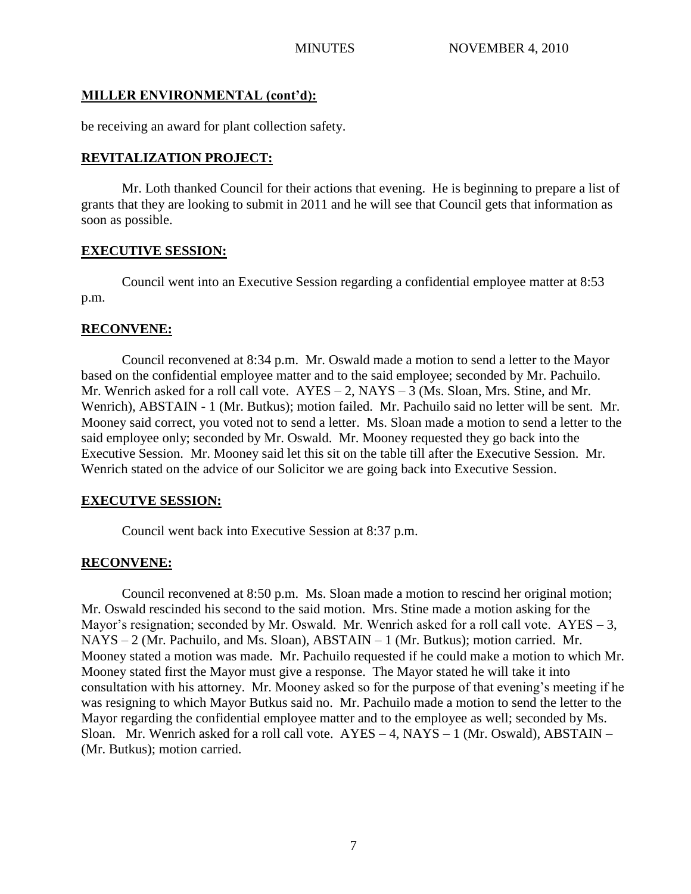# **MILLER ENVIRONMENTAL (cont'd):**

be receiving an award for plant collection safety.

# **REVITALIZATION PROJECT:**

Mr. Loth thanked Council for their actions that evening. He is beginning to prepare a list of grants that they are looking to submit in 2011 and he will see that Council gets that information as soon as possible.

# **EXECUTIVE SESSION:**

Council went into an Executive Session regarding a confidential employee matter at 8:53 p.m.

# **RECONVENE:**

Council reconvened at 8:34 p.m. Mr. Oswald made a motion to send a letter to the Mayor based on the confidential employee matter and to the said employee; seconded by Mr. Pachuilo. Mr. Wenrich asked for a roll call vote. AYES – 2, NAYS – 3 (Ms. Sloan, Mrs. Stine, and Mr. Wenrich), ABSTAIN - 1 (Mr. Butkus); motion failed. Mr. Pachuilo said no letter will be sent. Mr. Mooney said correct, you voted not to send a letter. Ms. Sloan made a motion to send a letter to the said employee only; seconded by Mr. Oswald. Mr. Mooney requested they go back into the Executive Session. Mr. Mooney said let this sit on the table till after the Executive Session. Mr. Wenrich stated on the advice of our Solicitor we are going back into Executive Session.

# **EXECUTVE SESSION:**

Council went back into Executive Session at 8:37 p.m.

# **RECONVENE:**

Council reconvened at 8:50 p.m. Ms. Sloan made a motion to rescind her original motion; Mr. Oswald rescinded his second to the said motion. Mrs. Stine made a motion asking for the Mayor's resignation; seconded by Mr. Oswald. Mr. Wenrich asked for a roll call vote.  $AYES - 3$ , NAYS – 2 (Mr. Pachuilo, and Ms. Sloan), ABSTAIN – 1 (Mr. Butkus); motion carried. Mr. Mooney stated a motion was made. Mr. Pachuilo requested if he could make a motion to which Mr. Mooney stated first the Mayor must give a response. The Mayor stated he will take it into consultation with his attorney. Mr. Mooney asked so for the purpose of that evening's meeting if he was resigning to which Mayor Butkus said no. Mr. Pachuilo made a motion to send the letter to the Mayor regarding the confidential employee matter and to the employee as well; seconded by Ms. Sloan. Mr. Wenrich asked for a roll call vote.  $AYES - 4$ ,  $NAYS - 1$  (Mr. Oswald), ABSTAIN – (Mr. Butkus); motion carried.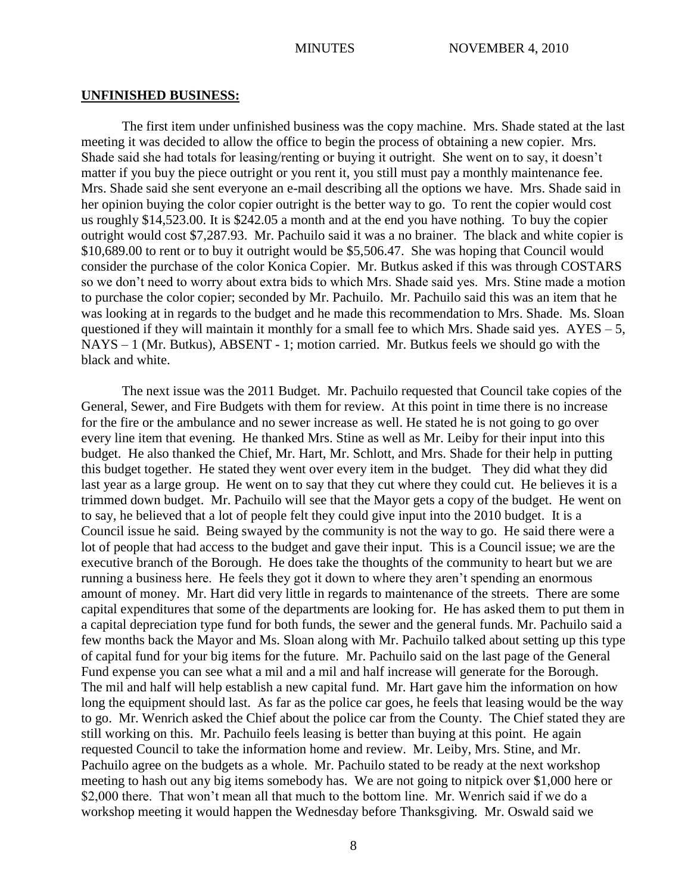#### **UNFINISHED BUSINESS:**

The first item under unfinished business was the copy machine. Mrs. Shade stated at the last meeting it was decided to allow the office to begin the process of obtaining a new copier. Mrs. Shade said she had totals for leasing/renting or buying it outright. She went on to say, it doesn't matter if you buy the piece outright or you rent it, you still must pay a monthly maintenance fee. Mrs. Shade said she sent everyone an e-mail describing all the options we have. Mrs. Shade said in her opinion buying the color copier outright is the better way to go. To rent the copier would cost us roughly \$14,523.00. It is \$242.05 a month and at the end you have nothing. To buy the copier outright would cost \$7,287.93. Mr. Pachuilo said it was a no brainer. The black and white copier is \$10,689.00 to rent or to buy it outright would be \$5,506.47. She was hoping that Council would consider the purchase of the color Konica Copier. Mr. Butkus asked if this was through COSTARS so we don't need to worry about extra bids to which Mrs. Shade said yes. Mrs. Stine made a motion to purchase the color copier; seconded by Mr. Pachuilo. Mr. Pachuilo said this was an item that he was looking at in regards to the budget and he made this recommendation to Mrs. Shade. Ms. Sloan questioned if they will maintain it monthly for a small fee to which Mrs. Shade said yes.  $AYES - 5$ , NAYS – 1 (Mr. Butkus), ABSENT - 1; motion carried. Mr. Butkus feels we should go with the black and white.

The next issue was the 2011 Budget. Mr. Pachuilo requested that Council take copies of the General, Sewer, and Fire Budgets with them for review. At this point in time there is no increase for the fire or the ambulance and no sewer increase as well. He stated he is not going to go over every line item that evening. He thanked Mrs. Stine as well as Mr. Leiby for their input into this budget. He also thanked the Chief, Mr. Hart, Mr. Schlott, and Mrs. Shade for their help in putting this budget together. He stated they went over every item in the budget. They did what they did last year as a large group. He went on to say that they cut where they could cut. He believes it is a trimmed down budget. Mr. Pachuilo will see that the Mayor gets a copy of the budget. He went on to say, he believed that a lot of people felt they could give input into the 2010 budget. It is a Council issue he said. Being swayed by the community is not the way to go. He said there were a lot of people that had access to the budget and gave their input. This is a Council issue; we are the executive branch of the Borough. He does take the thoughts of the community to heart but we are running a business here. He feels they got it down to where they aren't spending an enormous amount of money. Mr. Hart did very little in regards to maintenance of the streets. There are some capital expenditures that some of the departments are looking for. He has asked them to put them in a capital depreciation type fund for both funds, the sewer and the general funds. Mr. Pachuilo said a few months back the Mayor and Ms. Sloan along with Mr. Pachuilo talked about setting up this type of capital fund for your big items for the future. Mr. Pachuilo said on the last page of the General Fund expense you can see what a mil and a mil and half increase will generate for the Borough. The mil and half will help establish a new capital fund. Mr. Hart gave him the information on how long the equipment should last. As far as the police car goes, he feels that leasing would be the way to go. Mr. Wenrich asked the Chief about the police car from the County. The Chief stated they are still working on this. Mr. Pachuilo feels leasing is better than buying at this point. He again requested Council to take the information home and review. Mr. Leiby, Mrs. Stine, and Mr. Pachuilo agree on the budgets as a whole. Mr. Pachuilo stated to be ready at the next workshop meeting to hash out any big items somebody has. We are not going to nitpick over \$1,000 here or \$2,000 there. That won't mean all that much to the bottom line. Mr. Wenrich said if we do a workshop meeting it would happen the Wednesday before Thanksgiving. Mr. Oswald said we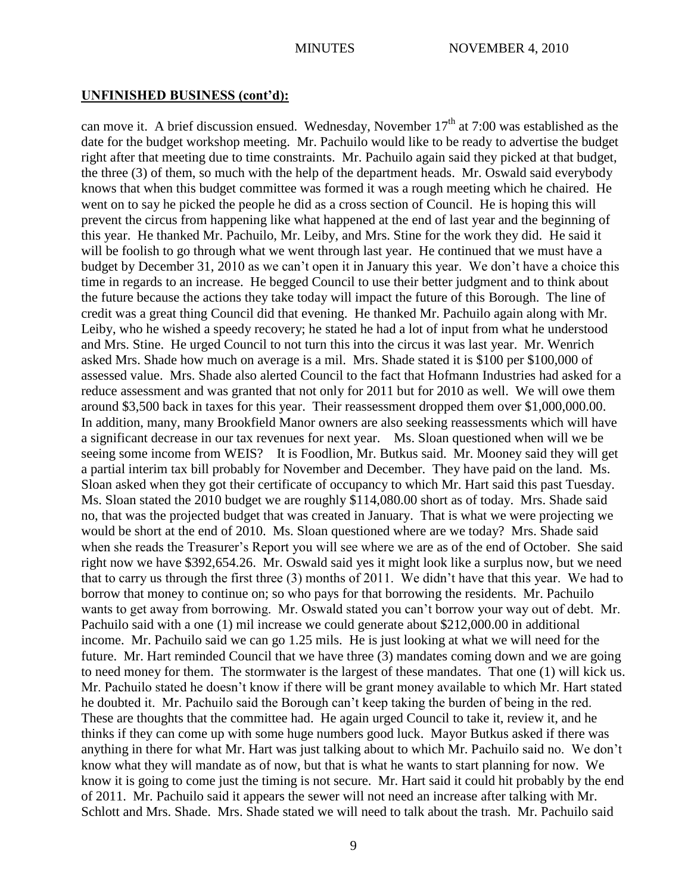can move it. A brief discussion ensued. Wednesday, November  $17<sup>th</sup>$  at 7:00 was established as the date for the budget workshop meeting. Mr. Pachuilo would like to be ready to advertise the budget right after that meeting due to time constraints. Mr. Pachuilo again said they picked at that budget, the three (3) of them, so much with the help of the department heads. Mr. Oswald said everybody knows that when this budget committee was formed it was a rough meeting which he chaired. He went on to say he picked the people he did as a cross section of Council. He is hoping this will prevent the circus from happening like what happened at the end of last year and the beginning of this year. He thanked Mr. Pachuilo, Mr. Leiby, and Mrs. Stine for the work they did. He said it will be foolish to go through what we went through last year. He continued that we must have a budget by December 31, 2010 as we can't open it in January this year. We don't have a choice this time in regards to an increase. He begged Council to use their better judgment and to think about the future because the actions they take today will impact the future of this Borough. The line of credit was a great thing Council did that evening. He thanked Mr. Pachuilo again along with Mr. Leiby, who he wished a speedy recovery; he stated he had a lot of input from what he understood and Mrs. Stine. He urged Council to not turn this into the circus it was last year. Mr. Wenrich asked Mrs. Shade how much on average is a mil. Mrs. Shade stated it is \$100 per \$100,000 of assessed value. Mrs. Shade also alerted Council to the fact that Hofmann Industries had asked for a reduce assessment and was granted that not only for 2011 but for 2010 as well. We will owe them around \$3,500 back in taxes for this year. Their reassessment dropped them over \$1,000,000.00. In addition, many, many Brookfield Manor owners are also seeking reassessments which will have a significant decrease in our tax revenues for next year. Ms. Sloan questioned when will we be seeing some income from WEIS? It is Foodlion, Mr. Butkus said. Mr. Mooney said they will get a partial interim tax bill probably for November and December. They have paid on the land. Ms. Sloan asked when they got their certificate of occupancy to which Mr. Hart said this past Tuesday. Ms. Sloan stated the 2010 budget we are roughly \$114,080.00 short as of today. Mrs. Shade said no, that was the projected budget that was created in January. That is what we were projecting we would be short at the end of 2010. Ms. Sloan questioned where are we today? Mrs. Shade said when she reads the Treasurer's Report you will see where we are as of the end of October. She said right now we have \$392,654.26. Mr. Oswald said yes it might look like a surplus now, but we need that to carry us through the first three (3) months of 2011. We didn't have that this year. We had to borrow that money to continue on; so who pays for that borrowing the residents. Mr. Pachuilo wants to get away from borrowing. Mr. Oswald stated you can't borrow your way out of debt. Mr. Pachuilo said with a one (1) mil increase we could generate about \$212,000.00 in additional income. Mr. Pachuilo said we can go 1.25 mils. He is just looking at what we will need for the future. Mr. Hart reminded Council that we have three (3) mandates coming down and we are going to need money for them. The stormwater is the largest of these mandates. That one (1) will kick us. Mr. Pachuilo stated he doesn't know if there will be grant money available to which Mr. Hart stated he doubted it. Mr. Pachuilo said the Borough can't keep taking the burden of being in the red. These are thoughts that the committee had. He again urged Council to take it, review it, and he thinks if they can come up with some huge numbers good luck. Mayor Butkus asked if there was anything in there for what Mr. Hart was just talking about to which Mr. Pachuilo said no. We don't know what they will mandate as of now, but that is what he wants to start planning for now. We know it is going to come just the timing is not secure. Mr. Hart said it could hit probably by the end of 2011. Mr. Pachuilo said it appears the sewer will not need an increase after talking with Mr. Schlott and Mrs. Shade. Mrs. Shade stated we will need to talk about the trash. Mr. Pachuilo said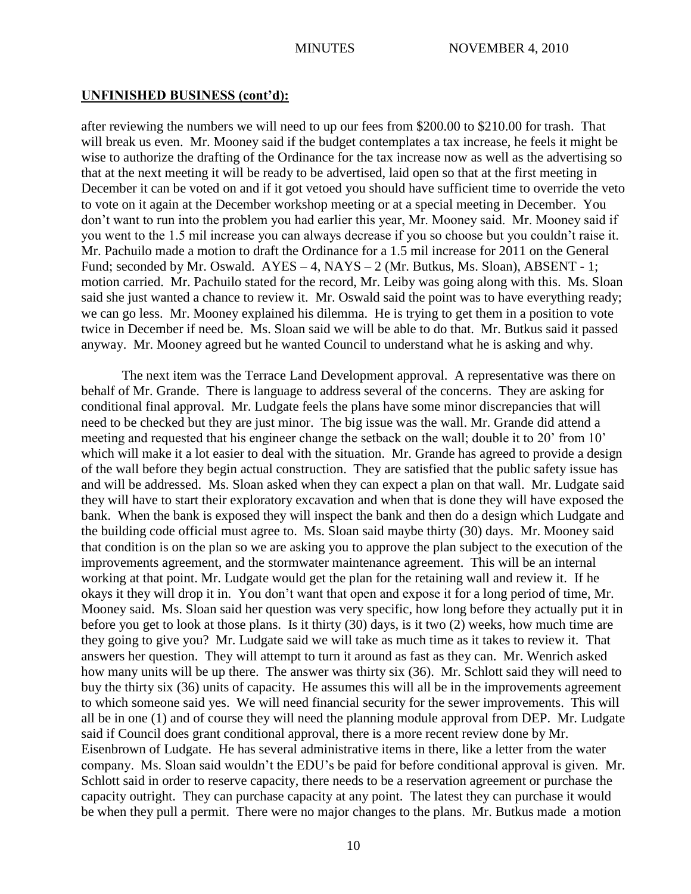after reviewing the numbers we will need to up our fees from \$200.00 to \$210.00 for trash. That will break us even. Mr. Mooney said if the budget contemplates a tax increase, he feels it might be wise to authorize the drafting of the Ordinance for the tax increase now as well as the advertising so that at the next meeting it will be ready to be advertised, laid open so that at the first meeting in December it can be voted on and if it got vetoed you should have sufficient time to override the veto to vote on it again at the December workshop meeting or at a special meeting in December. You don't want to run into the problem you had earlier this year, Mr. Mooney said. Mr. Mooney said if you went to the 1.5 mil increase you can always decrease if you so choose but you couldn't raise it. Mr. Pachuilo made a motion to draft the Ordinance for a 1.5 mil increase for 2011 on the General Fund; seconded by Mr. Oswald. AYES – 4, NAYS – 2 (Mr. Butkus, Ms. Sloan), ABSENT - 1; motion carried. Mr. Pachuilo stated for the record, Mr. Leiby was going along with this. Ms. Sloan said she just wanted a chance to review it. Mr. Oswald said the point was to have everything ready; we can go less. Mr. Mooney explained his dilemma. He is trying to get them in a position to vote twice in December if need be. Ms. Sloan said we will be able to do that. Mr. Butkus said it passed anyway. Mr. Mooney agreed but he wanted Council to understand what he is asking and why.

The next item was the Terrace Land Development approval. A representative was there on behalf of Mr. Grande. There is language to address several of the concerns. They are asking for conditional final approval. Mr. Ludgate feels the plans have some minor discrepancies that will need to be checked but they are just minor. The big issue was the wall. Mr. Grande did attend a meeting and requested that his engineer change the setback on the wall; double it to 20' from 10' which will make it a lot easier to deal with the situation. Mr. Grande has agreed to provide a design of the wall before they begin actual construction. They are satisfied that the public safety issue has and will be addressed. Ms. Sloan asked when they can expect a plan on that wall. Mr. Ludgate said they will have to start their exploratory excavation and when that is done they will have exposed the bank. When the bank is exposed they will inspect the bank and then do a design which Ludgate and the building code official must agree to. Ms. Sloan said maybe thirty (30) days. Mr. Mooney said that condition is on the plan so we are asking you to approve the plan subject to the execution of the improvements agreement, and the stormwater maintenance agreement. This will be an internal working at that point. Mr. Ludgate would get the plan for the retaining wall and review it. If he okays it they will drop it in. You don't want that open and expose it for a long period of time, Mr. Mooney said. Ms. Sloan said her question was very specific, how long before they actually put it in before you get to look at those plans. Is it thirty (30) days, is it two (2) weeks, how much time are they going to give you? Mr. Ludgate said we will take as much time as it takes to review it. That answers her question. They will attempt to turn it around as fast as they can. Mr. Wenrich asked how many units will be up there. The answer was thirty six (36). Mr. Schlott said they will need to buy the thirty six (36) units of capacity. He assumes this will all be in the improvements agreement to which someone said yes. We will need financial security for the sewer improvements. This will all be in one (1) and of course they will need the planning module approval from DEP. Mr. Ludgate said if Council does grant conditional approval, there is a more recent review done by Mr. Eisenbrown of Ludgate. He has several administrative items in there, like a letter from the water company. Ms. Sloan said wouldn't the EDU's be paid for before conditional approval is given. Mr. Schlott said in order to reserve capacity, there needs to be a reservation agreement or purchase the capacity outright. They can purchase capacity at any point. The latest they can purchase it would be when they pull a permit. There were no major changes to the plans. Mr. Butkus made a motion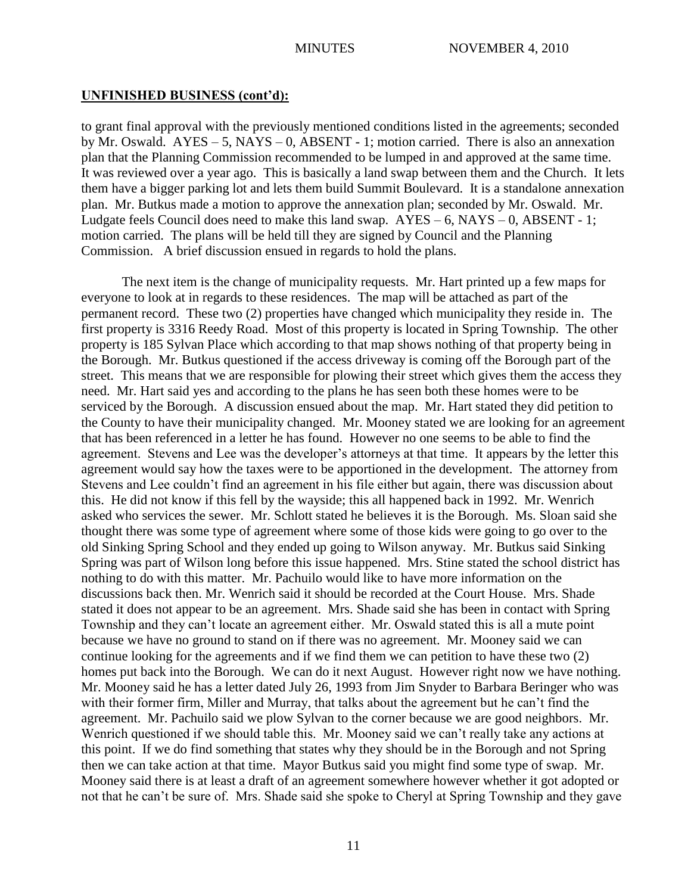to grant final approval with the previously mentioned conditions listed in the agreements; seconded by Mr. Oswald. AYES – 5, NAYS – 0, ABSENT - 1; motion carried. There is also an annexation plan that the Planning Commission recommended to be lumped in and approved at the same time. It was reviewed over a year ago. This is basically a land swap between them and the Church. It lets them have a bigger parking lot and lets them build Summit Boulevard. It is a standalone annexation plan. Mr. Butkus made a motion to approve the annexation plan; seconded by Mr. Oswald. Mr. Ludgate feels Council does need to make this land swap.  $AYES - 6$ ,  $NAYS - 0$ ,  $ABSENT - 1$ ; motion carried. The plans will be held till they are signed by Council and the Planning Commission. A brief discussion ensued in regards to hold the plans.

The next item is the change of municipality requests. Mr. Hart printed up a few maps for everyone to look at in regards to these residences. The map will be attached as part of the permanent record. These two (2) properties have changed which municipality they reside in. The first property is 3316 Reedy Road. Most of this property is located in Spring Township. The other property is 185 Sylvan Place which according to that map shows nothing of that property being in the Borough. Mr. Butkus questioned if the access driveway is coming off the Borough part of the street. This means that we are responsible for plowing their street which gives them the access they need. Mr. Hart said yes and according to the plans he has seen both these homes were to be serviced by the Borough. A discussion ensued about the map. Mr. Hart stated they did petition to the County to have their municipality changed. Mr. Mooney stated we are looking for an agreement that has been referenced in a letter he has found. However no one seems to be able to find the agreement. Stevens and Lee was the developer's attorneys at that time. It appears by the letter this agreement would say how the taxes were to be apportioned in the development. The attorney from Stevens and Lee couldn't find an agreement in his file either but again, there was discussion about this. He did not know if this fell by the wayside; this all happened back in 1992. Mr. Wenrich asked who services the sewer. Mr. Schlott stated he believes it is the Borough. Ms. Sloan said she thought there was some type of agreement where some of those kids were going to go over to the old Sinking Spring School and they ended up going to Wilson anyway. Mr. Butkus said Sinking Spring was part of Wilson long before this issue happened. Mrs. Stine stated the school district has nothing to do with this matter. Mr. Pachuilo would like to have more information on the discussions back then. Mr. Wenrich said it should be recorded at the Court House. Mrs. Shade stated it does not appear to be an agreement. Mrs. Shade said she has been in contact with Spring Township and they can't locate an agreement either. Mr. Oswald stated this is all a mute point because we have no ground to stand on if there was no agreement. Mr. Mooney said we can continue looking for the agreements and if we find them we can petition to have these two (2) homes put back into the Borough. We can do it next August. However right now we have nothing. Mr. Mooney said he has a letter dated July 26, 1993 from Jim Snyder to Barbara Beringer who was with their former firm, Miller and Murray, that talks about the agreement but he can't find the agreement. Mr. Pachuilo said we plow Sylvan to the corner because we are good neighbors. Mr. Wenrich questioned if we should table this. Mr. Mooney said we can't really take any actions at this point. If we do find something that states why they should be in the Borough and not Spring then we can take action at that time. Mayor Butkus said you might find some type of swap. Mr. Mooney said there is at least a draft of an agreement somewhere however whether it got adopted or not that he can't be sure of. Mrs. Shade said she spoke to Cheryl at Spring Township and they gave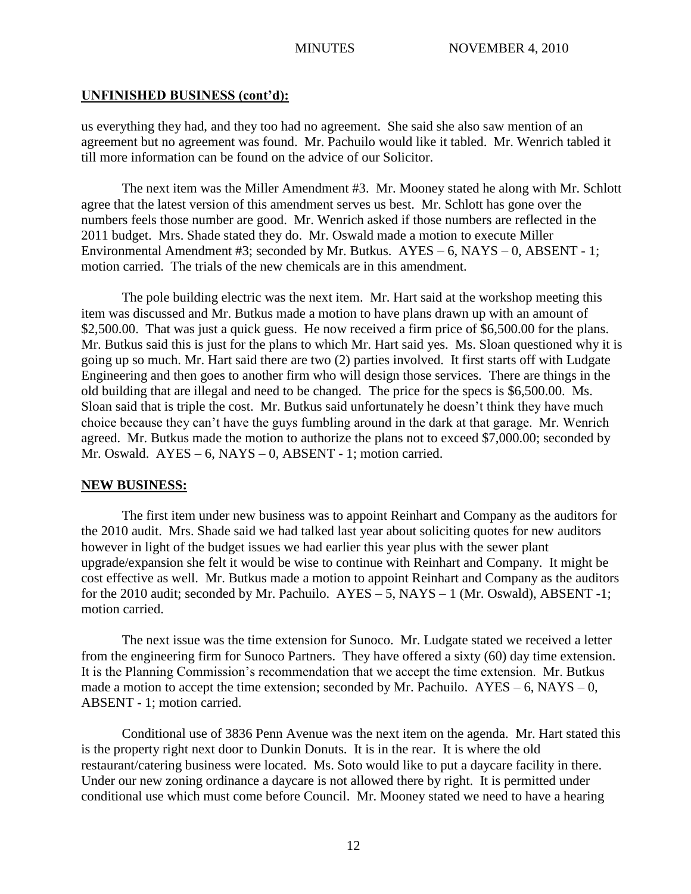us everything they had, and they too had no agreement. She said she also saw mention of an agreement but no agreement was found. Mr. Pachuilo would like it tabled. Mr. Wenrich tabled it till more information can be found on the advice of our Solicitor.

The next item was the Miller Amendment #3. Mr. Mooney stated he along with Mr. Schlott agree that the latest version of this amendment serves us best. Mr. Schlott has gone over the numbers feels those number are good. Mr. Wenrich asked if those numbers are reflected in the 2011 budget. Mrs. Shade stated they do. Mr. Oswald made a motion to execute Miller Environmental Amendment #3; seconded by Mr. Butkus. AYES – 6, NAYS – 0, ABSENT - 1; motion carried. The trials of the new chemicals are in this amendment.

The pole building electric was the next item. Mr. Hart said at the workshop meeting this item was discussed and Mr. Butkus made a motion to have plans drawn up with an amount of \$2,500.00. That was just a quick guess. He now received a firm price of \$6,500.00 for the plans. Mr. Butkus said this is just for the plans to which Mr. Hart said yes. Ms. Sloan questioned why it is going up so much. Mr. Hart said there are two (2) parties involved. It first starts off with Ludgate Engineering and then goes to another firm who will design those services. There are things in the old building that are illegal and need to be changed. The price for the specs is \$6,500.00. Ms. Sloan said that is triple the cost. Mr. Butkus said unfortunately he doesn't think they have much choice because they can't have the guys fumbling around in the dark at that garage. Mr. Wenrich agreed. Mr. Butkus made the motion to authorize the plans not to exceed \$7,000.00; seconded by Mr. Oswald. AYES – 6, NAYS – 0, ABSENT - 1; motion carried.

## **NEW BUSINESS:**

The first item under new business was to appoint Reinhart and Company as the auditors for the 2010 audit. Mrs. Shade said we had talked last year about soliciting quotes for new auditors however in light of the budget issues we had earlier this year plus with the sewer plant upgrade/expansion she felt it would be wise to continue with Reinhart and Company. It might be cost effective as well. Mr. Butkus made a motion to appoint Reinhart and Company as the auditors for the 2010 audit; seconded by Mr. Pachuilo. AYES – 5, NAYS – 1 (Mr. Oswald), ABSENT -1; motion carried.

The next issue was the time extension for Sunoco. Mr. Ludgate stated we received a letter from the engineering firm for Sunoco Partners. They have offered a sixty (60) day time extension. It is the Planning Commission's recommendation that we accept the time extension. Mr. Butkus made a motion to accept the time extension; seconded by Mr. Pachuilo.  $AYES - 6$ ,  $NAYS - 0$ , ABSENT - 1; motion carried.

Conditional use of 3836 Penn Avenue was the next item on the agenda. Mr. Hart stated this is the property right next door to Dunkin Donuts. It is in the rear. It is where the old restaurant/catering business were located. Ms. Soto would like to put a daycare facility in there. Under our new zoning ordinance a daycare is not allowed there by right. It is permitted under conditional use which must come before Council. Mr. Mooney stated we need to have a hearing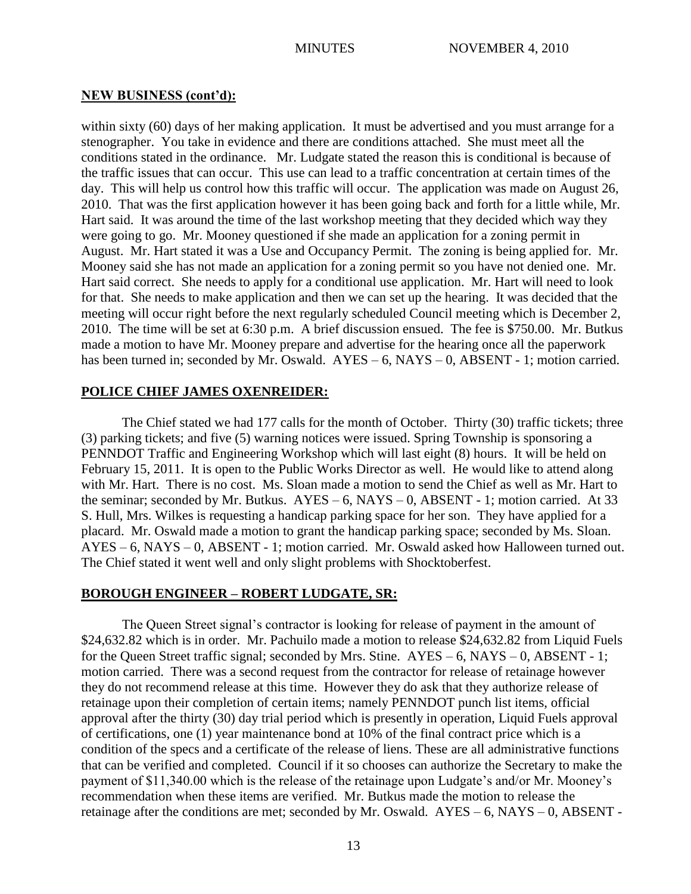## **NEW BUSINESS (cont'd):**

within sixty (60) days of her making application. It must be advertised and you must arrange for a stenographer. You take in evidence and there are conditions attached. She must meet all the conditions stated in the ordinance. Mr. Ludgate stated the reason this is conditional is because of the traffic issues that can occur. This use can lead to a traffic concentration at certain times of the day. This will help us control how this traffic will occur. The application was made on August 26, 2010. That was the first application however it has been going back and forth for a little while, Mr. Hart said. It was around the time of the last workshop meeting that they decided which way they were going to go. Mr. Mooney questioned if she made an application for a zoning permit in August. Mr. Hart stated it was a Use and Occupancy Permit. The zoning is being applied for. Mr. Mooney said she has not made an application for a zoning permit so you have not denied one. Mr. Hart said correct. She needs to apply for a conditional use application. Mr. Hart will need to look for that. She needs to make application and then we can set up the hearing. It was decided that the meeting will occur right before the next regularly scheduled Council meeting which is December 2, 2010. The time will be set at 6:30 p.m. A brief discussion ensued. The fee is \$750.00. Mr. Butkus made a motion to have Mr. Mooney prepare and advertise for the hearing once all the paperwork has been turned in; seconded by Mr. Oswald. AYES – 6, NAYS – 0, ABSENT - 1; motion carried.

## **POLICE CHIEF JAMES OXENREIDER:**

The Chief stated we had 177 calls for the month of October. Thirty (30) traffic tickets; three (3) parking tickets; and five (5) warning notices were issued. Spring Township is sponsoring a PENNDOT Traffic and Engineering Workshop which will last eight (8) hours. It will be held on February 15, 2011. It is open to the Public Works Director as well. He would like to attend along with Mr. Hart. There is no cost. Ms. Sloan made a motion to send the Chief as well as Mr. Hart to the seminar; seconded by Mr. Butkus.  $AYES - 6$ ,  $NAYS - 0$ ,  $ABSENT - 1$ ; motion carried. At 33 S. Hull, Mrs. Wilkes is requesting a handicap parking space for her son. They have applied for a placard. Mr. Oswald made a motion to grant the handicap parking space; seconded by Ms. Sloan. AYES – 6, NAYS – 0, ABSENT - 1; motion carried. Mr. Oswald asked how Halloween turned out. The Chief stated it went well and only slight problems with Shocktoberfest.

# **BOROUGH ENGINEER – ROBERT LUDGATE, SR:**

The Queen Street signal's contractor is looking for release of payment in the amount of \$24,632.82 which is in order. Mr. Pachuilo made a motion to release \$24,632.82 from Liquid Fuels for the Queen Street traffic signal; seconded by Mrs. Stine. AYES – 6, NAYS – 0, ABSENT - 1; motion carried. There was a second request from the contractor for release of retainage however they do not recommend release at this time. However they do ask that they authorize release of retainage upon their completion of certain items; namely PENNDOT punch list items, official approval after the thirty (30) day trial period which is presently in operation, Liquid Fuels approval of certifications, one (1) year maintenance bond at 10% of the final contract price which is a condition of the specs and a certificate of the release of liens. These are all administrative functions that can be verified and completed. Council if it so chooses can authorize the Secretary to make the payment of \$11,340.00 which is the release of the retainage upon Ludgate's and/or Mr. Mooney's recommendation when these items are verified. Mr. Butkus made the motion to release the retainage after the conditions are met; seconded by Mr. Oswald. AYES – 6, NAYS – 0, ABSENT -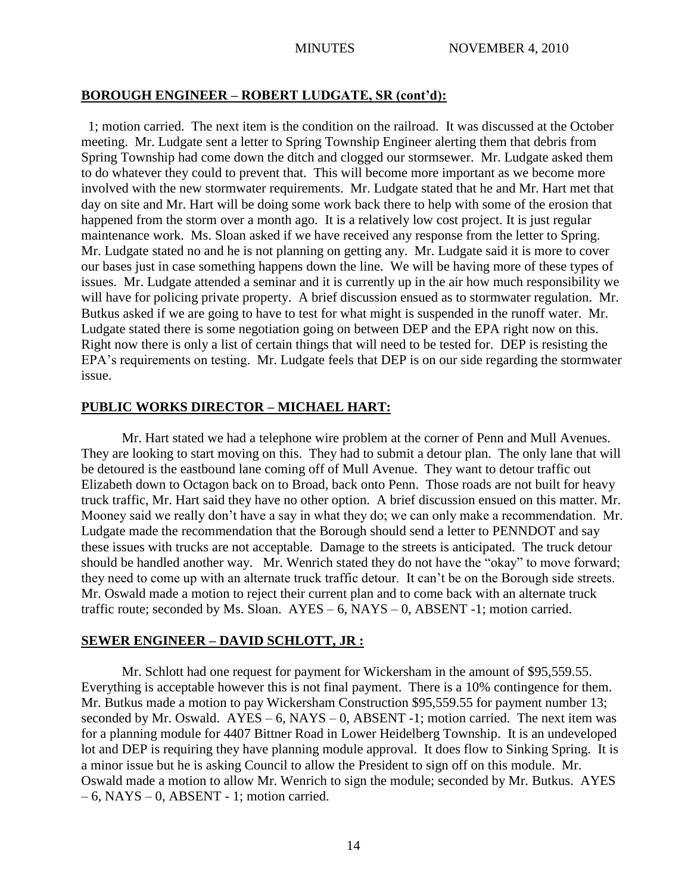## **BOROUGH ENGINEER – ROBERT LUDGATE, SR (cont'd):**

 1; motion carried. The next item is the condition on the railroad. It was discussed at the October meeting. Mr. Ludgate sent a letter to Spring Township Engineer alerting them that debris from Spring Township had come down the ditch and clogged our stormsewer. Mr. Ludgate asked them to do whatever they could to prevent that. This will become more important as we become more involved with the new stormwater requirements. Mr. Ludgate stated that he and Mr. Hart met that day on site and Mr. Hart will be doing some work back there to help with some of the erosion that happened from the storm over a month ago. It is a relatively low cost project. It is just regular maintenance work. Ms. Sloan asked if we have received any response from the letter to Spring. Mr. Ludgate stated no and he is not planning on getting any. Mr. Ludgate said it is more to cover our bases just in case something happens down the line. We will be having more of these types of issues. Mr. Ludgate attended a seminar and it is currently up in the air how much responsibility we will have for policing private property. A brief discussion ensued as to stormwater regulation. Mr. Butkus asked if we are going to have to test for what might is suspended in the runoff water. Mr. Ludgate stated there is some negotiation going on between DEP and the EPA right now on this. Right now there is only a list of certain things that will need to be tested for. DEP is resisting the EPA's requirements on testing. Mr. Ludgate feels that DEP is on our side regarding the stormwater issue.

## **PUBLIC WORKS DIRECTOR – MICHAEL HART:**

Mr. Hart stated we had a telephone wire problem at the corner of Penn and Mull Avenues. They are looking to start moving on this. They had to submit a detour plan. The only lane that will be detoured is the eastbound lane coming off of Mull Avenue. They want to detour traffic out Elizabeth down to Octagon back on to Broad, back onto Penn. Those roads are not built for heavy truck traffic, Mr. Hart said they have no other option. A brief discussion ensued on this matter. Mr. Mooney said we really don't have a say in what they do; we can only make a recommendation. Mr. Ludgate made the recommendation that the Borough should send a letter to PENNDOT and say these issues with trucks are not acceptable. Damage to the streets is anticipated. The truck detour should be handled another way. Mr. Wenrich stated they do not have the "okay" to move forward; they need to come up with an alternate truck traffic detour. It can't be on the Borough side streets. Mr. Oswald made a motion to reject their current plan and to come back with an alternate truck traffic route; seconded by Ms. Sloan.  $AYES - 6$ ,  $NAYS - 0$ ,  $ABSENT - 1$ ; motion carried.

## **SEWER ENGINEER – DAVID SCHLOTT, JR :**

Mr. Schlott had one request for payment for Wickersham in the amount of \$95,559.55. Everything is acceptable however this is not final payment. There is a 10% contingence for them. Mr. Butkus made a motion to pay Wickersham Construction \$95,559.55 for payment number 13; seconded by Mr. Oswald.  $AYES - 6$ ,  $NAYS - 0$ ,  $ABSENT - 1$ ; motion carried. The next item was for a planning module for 4407 Bittner Road in Lower Heidelberg Township. It is an undeveloped lot and DEP is requiring they have planning module approval. It does flow to Sinking Spring. It is a minor issue but he is asking Council to allow the President to sign off on this module. Mr. Oswald made a motion to allow Mr. Wenrich to sign the module; seconded by Mr. Butkus. AYES  $-6$ , NAYS  $-0$ , ABSENT - 1; motion carried.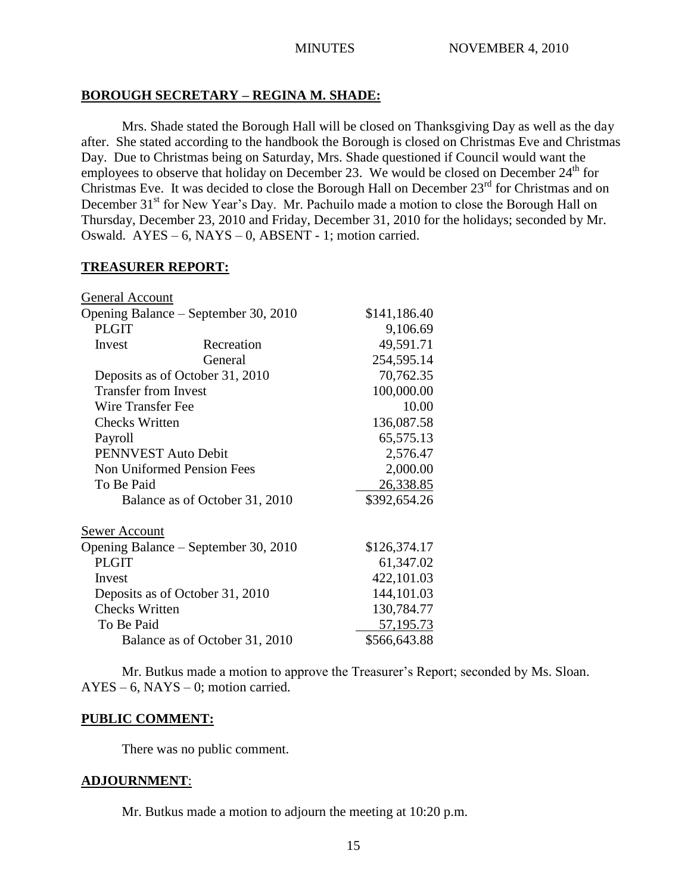# **BOROUGH SECRETARY – REGINA M. SHADE:**

Mrs. Shade stated the Borough Hall will be closed on Thanksgiving Day as well as the day after. She stated according to the handbook the Borough is closed on Christmas Eve and Christmas Day. Due to Christmas being on Saturday, Mrs. Shade questioned if Council would want the employees to observe that holiday on December 23. We would be closed on December  $24<sup>th</sup>$  for Christmas Eve. It was decided to close the Borough Hall on December 23<sup>rd</sup> for Christmas and on December 31<sup>st</sup> for New Year's Day. Mr. Pachuilo made a motion to close the Borough Hall on Thursday, December 23, 2010 and Friday, December 31, 2010 for the holidays; seconded by Mr. Oswald. AYES – 6, NAYS – 0, ABSENT - 1; motion carried.

# **TREASURER REPORT:**

| General Account                      |              |              |
|--------------------------------------|--------------|--------------|
| Opening Balance – September 30, 2010 | \$141,186.40 |              |
| <b>PLGIT</b>                         |              | 9,106.69     |
| Invest                               | Recreation   | 49,591.71    |
|                                      | General      | 254,595.14   |
| Deposits as of October 31, 2010      |              | 70,762.35    |
| <b>Transfer from Invest</b>          |              | 100,000.00   |
| Wire Transfer Fee                    |              | 10.00        |
| <b>Checks Written</b>                |              | 136,087.58   |
| Payroll                              |              | 65,575.13    |
| PENNVEST Auto Debit                  |              | 2,576.47     |
| <b>Non Uniformed Pension Fees</b>    |              | 2,000.00     |
| To Be Paid                           |              | 26,338.85    |
| Balance as of October 31, 2010       |              | \$392,654.26 |
| Sewer Account                        |              |              |
| Opening Balance – September 30, 2010 |              | \$126,374.17 |
| <b>PLGIT</b>                         |              | 61,347.02    |
| Invest                               |              | 422,101.03   |
| Deposits as of October 31, 2010      |              | 144,101.03   |
| <b>Checks Written</b>                |              | 130,784.77   |
| To Be Paid                           |              | 57, 195. 73  |
| Balance as of October 31, 2010       |              | \$566,643.88 |

Mr. Butkus made a motion to approve the Treasurer's Report; seconded by Ms. Sloan.  $AYES - 6$ ,  $NAYS - 0$ ; motion carried.

# **PUBLIC COMMENT:**

There was no public comment.

# **ADJOURNMENT**:

Mr. Butkus made a motion to adjourn the meeting at 10:20 p.m.